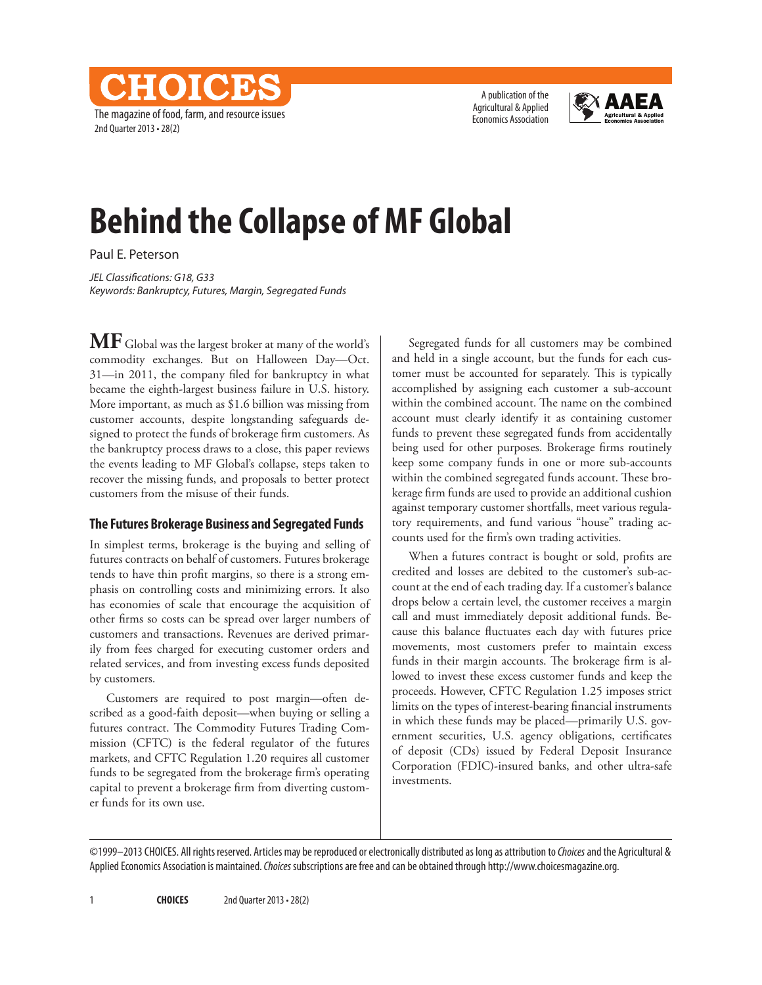The magazine of food, farm, and resource issues 2nd Quarter 2013 • 28(2)

CHOICES

A publication of the Agricultural & Applied Economics Association



# **Behind the Collapse of MF Global**

Paul E. Peterson

*JEL Classifications: G18, G33 Keywords: Bankruptcy, Futures, Margin, Segregated Funds*

**MF** Global was the largest broker at many of the world's commodity exchanges. But on Halloween Day—Oct. 31—in 2011, the company filed for bankruptcy in what became the eighth-largest business failure in U.S. history. More important, as much as \$1.6 billion was missing from customer accounts, despite longstanding safeguards designed to protect the funds of brokerage firm customers. As the bankruptcy process draws to a close, this paper reviews the events leading to MF Global's collapse, steps taken to recover the missing funds, and proposals to better protect customers from the misuse of their funds.

## **The Futures Brokerage Business and Segregated Funds**

In simplest terms, brokerage is the buying and selling of futures contracts on behalf of customers. Futures brokerage tends to have thin profit margins, so there is a strong emphasis on controlling costs and minimizing errors. It also has economies of scale that encourage the acquisition of other firms so costs can be spread over larger numbers of customers and transactions. Revenues are derived primarily from fees charged for executing customer orders and related services, and from investing excess funds deposited by customers.

Customers are required to post margin—often described as a good-faith deposit—when buying or selling a futures contract. The Commodity Futures Trading Commission (CFTC) is the federal regulator of the futures markets, and CFTC Regulation 1.20 requires all customer funds to be segregated from the brokerage firm's operating capital to prevent a brokerage firm from diverting customer funds for its own use.

Segregated funds for all customers may be combined and held in a single account, but the funds for each customer must be accounted for separately. This is typically accomplished by assigning each customer a sub-account within the combined account. The name on the combined account must clearly identify it as containing customer funds to prevent these segregated funds from accidentally being used for other purposes. Brokerage firms routinely keep some company funds in one or more sub-accounts within the combined segregated funds account. These brokerage firm funds are used to provide an additional cushion against temporary customer shortfalls, meet various regulatory requirements, and fund various "house" trading accounts used for the firm's own trading activities.

When a futures contract is bought or sold, profits are credited and losses are debited to the customer's sub-account at the end of each trading day. If a customer's balance drops below a certain level, the customer receives a margin call and must immediately deposit additional funds. Because this balance fluctuates each day with futures price movements, most customers prefer to maintain excess funds in their margin accounts. The brokerage firm is allowed to invest these excess customer funds and keep the proceeds. However, CFTC Regulation 1.25 imposes strict limits on the types of interest-bearing financial instruments in which these funds may be placed—primarily U.S. government securities, U.S. agency obligations, certificates of deposit (CDs) issued by Federal Deposit Insurance Corporation (FDIC)-insured banks, and other ultra-safe investments.

©1999–2013 CHOICES. All rights reserved. Articles may be reproduced or electronically distributed as long as attribution to *Choices* and the Agricultural & Applied Economics Association is maintained. *Choices* subscriptions are free and can be obtained through http://www.choicesmagazine.org.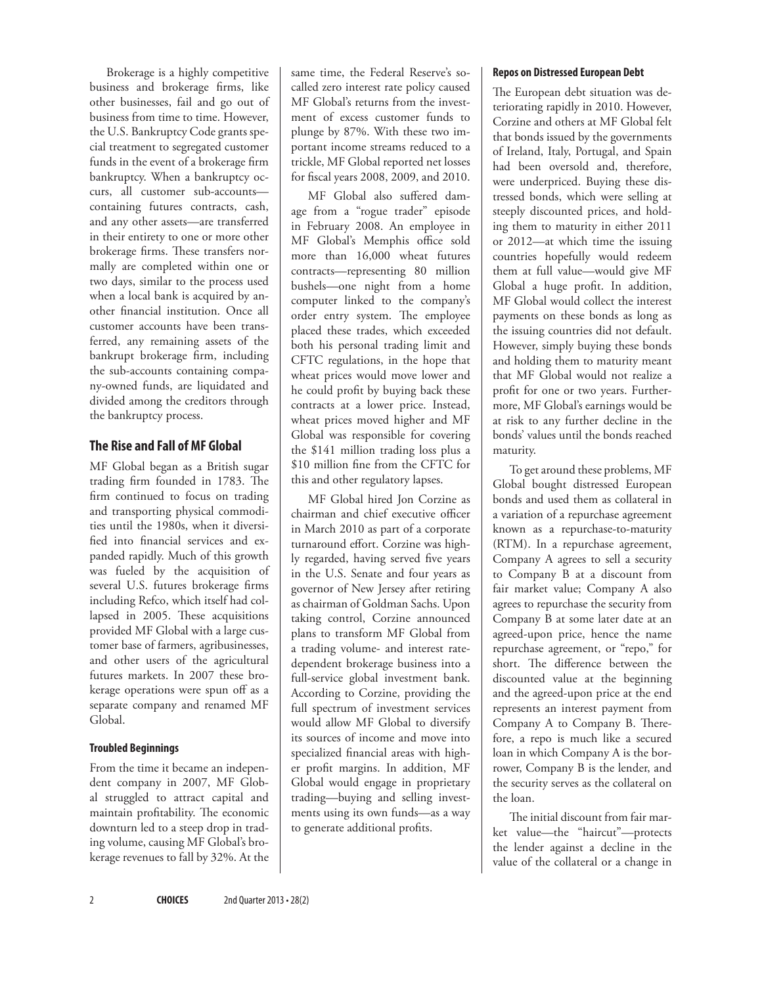Brokerage is a highly competitive business and brokerage firms, like other businesses, fail and go out of business from time to time. However, the U.S. Bankruptcy Code grants special treatment to segregated customer funds in the event of a brokerage firm bankruptcy. When a bankruptcy occurs, all customer sub-accounts containing futures contracts, cash, and any other assets—are transferred in their entirety to one or more other brokerage firms. These transfers normally are completed within one or two days, similar to the process used when a local bank is acquired by another financial institution. Once all customer accounts have been transferred, any remaining assets of the bankrupt brokerage firm, including the sub-accounts containing company-owned funds, are liquidated and divided among the creditors through the bankruptcy process.

### **The Rise and Fall of MF Global**

MF Global began as a British sugar trading firm founded in 1783. The firm continued to focus on trading and transporting physical commodities until the 1980s, when it diversified into financial services and expanded rapidly. Much of this growth was fueled by the acquisition of several U.S. futures brokerage firms including Refco, which itself had collapsed in 2005. These acquisitions provided MF Global with a large customer base of farmers, agribusinesses, and other users of the agricultural futures markets. In 2007 these brokerage operations were spun off as a separate company and renamed MF Global.

#### **Troubled Beginnings**

From the time it became an independent company in 2007, MF Global struggled to attract capital and maintain profitability. The economic downturn led to a steep drop in trading volume, causing MF Global's brokerage revenues to fall by 32%. At the same time, the Federal Reserve's socalled zero interest rate policy caused MF Global's returns from the investment of excess customer funds to plunge by 87%. With these two important income streams reduced to a trickle, MF Global reported net losses for fiscal years 2008, 2009, and 2010.

MF Global also suffered damage from a "rogue trader" episode in February 2008. An employee in MF Global's Memphis office sold more than 16,000 wheat futures contracts—representing 80 million bushels—one night from a home computer linked to the company's order entry system. The employee placed these trades, which exceeded both his personal trading limit and CFTC regulations, in the hope that wheat prices would move lower and he could profit by buying back these contracts at a lower price. Instead, wheat prices moved higher and MF Global was responsible for covering the \$141 million trading loss plus a \$10 million fine from the CFTC for this and other regulatory lapses.

MF Global hired Jon Corzine as chairman and chief executive officer in March 2010 as part of a corporate turnaround effort. Corzine was highly regarded, having served five years in the U.S. Senate and four years as governor of New Jersey after retiring as chairman of Goldman Sachs. Upon taking control, Corzine announced plans to transform MF Global from a trading volume- and interest ratedependent brokerage business into a full-service global investment bank. According to Corzine, providing the full spectrum of investment services would allow MF Global to diversify its sources of income and move into specialized financial areas with higher profit margins. In addition, MF Global would engage in proprietary trading—buying and selling investments using its own funds—as a way to generate additional profits.

#### **Repos on Distressed European Debt**

The European debt situation was deteriorating rapidly in 2010. However, Corzine and others at MF Global felt that bonds issued by the governments of Ireland, Italy, Portugal, and Spain had been oversold and, therefore, were underpriced. Buying these distressed bonds, which were selling at steeply discounted prices, and holding them to maturity in either 2011 or 2012—at which time the issuing countries hopefully would redeem them at full value—would give MF Global a huge profit. In addition, MF Global would collect the interest payments on these bonds as long as the issuing countries did not default. However, simply buying these bonds and holding them to maturity meant that MF Global would not realize a profit for one or two years. Furthermore, MF Global's earnings would be at risk to any further decline in the bonds' values until the bonds reached maturity.

To get around these problems, MF Global bought distressed European bonds and used them as collateral in a variation of a repurchase agreement known as a repurchase-to-maturity (RTM). In a repurchase agreement, Company A agrees to sell a security to Company B at a discount from fair market value; Company A also agrees to repurchase the security from Company B at some later date at an agreed-upon price, hence the name repurchase agreement, or "repo," for short. The difference between the discounted value at the beginning and the agreed-upon price at the end represents an interest payment from Company A to Company B. Therefore, a repo is much like a secured loan in which Company A is the borrower, Company B is the lender, and the security serves as the collateral on the loan.

The initial discount from fair market value—the "haircut"—protects the lender against a decline in the value of the collateral or a change in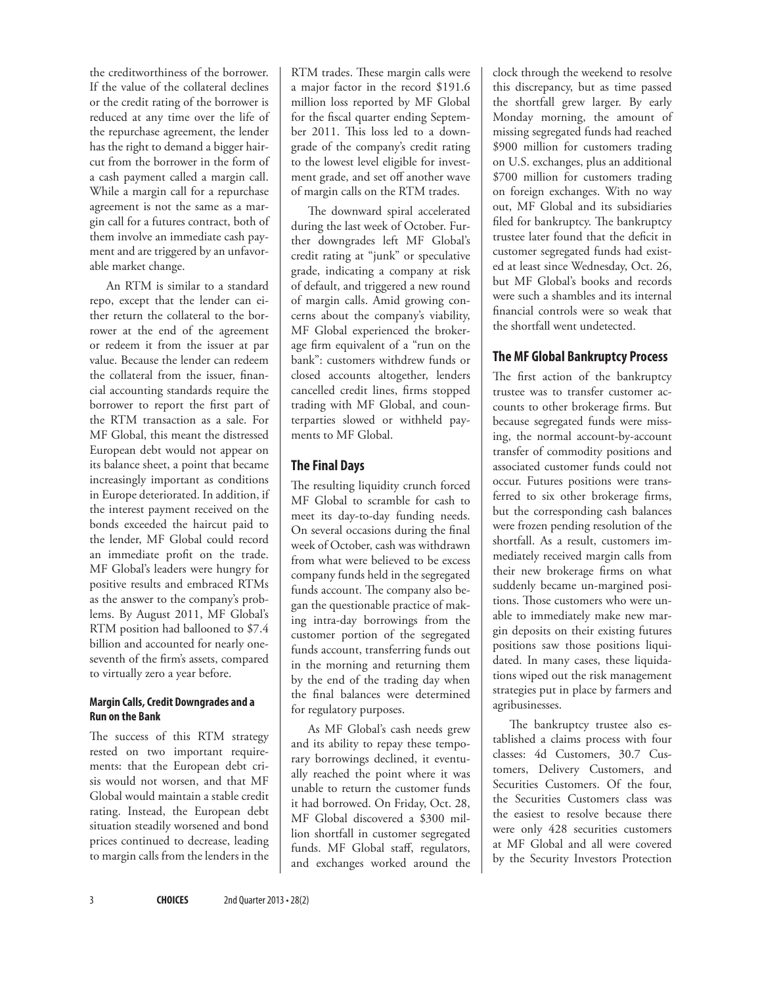the creditworthiness of the borrower. If the value of the collateral declines or the credit rating of the borrower is reduced at any time over the life of the repurchase agreement, the lender has the right to demand a bigger haircut from the borrower in the form of a cash payment called a margin call. While a margin call for a repurchase agreement is not the same as a margin call for a futures contract, both of them involve an immediate cash payment and are triggered by an unfavorable market change.

An RTM is similar to a standard repo, except that the lender can either return the collateral to the borrower at the end of the agreement or redeem it from the issuer at par value. Because the lender can redeem the collateral from the issuer, financial accounting standards require the borrower to report the first part of the RTM transaction as a sale. For MF Global, this meant the distressed European debt would not appear on its balance sheet, a point that became increasingly important as conditions in Europe deteriorated. In addition, if the interest payment received on the bonds exceeded the haircut paid to the lender, MF Global could record an immediate profit on the trade. MF Global's leaders were hungry for positive results and embraced RTMs as the answer to the company's problems. By August 2011, MF Global's RTM position had ballooned to \$7.4 billion and accounted for nearly oneseventh of the firm's assets, compared to virtually zero a year before.

#### **Margin Calls, Credit Downgrades and a Run on the Bank**

The success of this RTM strategy rested on two important requirements: that the European debt crisis would not worsen, and that MF Global would maintain a stable credit rating. Instead, the European debt situation steadily worsened and bond prices continued to decrease, leading to margin calls from the lenders in the RTM trades. These margin calls were a major factor in the record \$191.6 million loss reported by MF Global for the fiscal quarter ending September 2011. This loss led to a downgrade of the company's credit rating to the lowest level eligible for investment grade, and set off another wave of margin calls on the RTM trades.

The downward spiral accelerated during the last week of October. Further downgrades left MF Global's credit rating at "junk" or speculative grade, indicating a company at risk of default, and triggered a new round of margin calls. Amid growing concerns about the company's viability, MF Global experienced the brokerage firm equivalent of a "run on the bank": customers withdrew funds or closed accounts altogether, lenders cancelled credit lines, firms stopped trading with MF Global, and counterparties slowed or withheld payments to MF Global.

## **The Final Days**

The resulting liquidity crunch forced MF Global to scramble for cash to meet its day-to-day funding needs. On several occasions during the final week of October, cash was withdrawn from what were believed to be excess company funds held in the segregated funds account. The company also began the questionable practice of making intra-day borrowings from the customer portion of the segregated funds account, transferring funds out in the morning and returning them by the end of the trading day when the final balances were determined for regulatory purposes.

As MF Global's cash needs grew and its ability to repay these temporary borrowings declined, it eventually reached the point where it was unable to return the customer funds it had borrowed. On Friday, Oct. 28, MF Global discovered a \$300 million shortfall in customer segregated funds. MF Global staff, regulators, and exchanges worked around the clock through the weekend to resolve this discrepancy, but as time passed the shortfall grew larger. By early Monday morning, the amount of missing segregated funds had reached \$900 million for customers trading on U.S. exchanges, plus an additional \$700 million for customers trading on foreign exchanges. With no way out, MF Global and its subsidiaries filed for bankruptcy. The bankruptcy trustee later found that the deficit in customer segregated funds had existed at least since Wednesday, Oct. 26, but MF Global's books and records were such a shambles and its internal financial controls were so weak that the shortfall went undetected.

## **The MF Global Bankruptcy Process**

The first action of the bankruptcy trustee was to transfer customer accounts to other brokerage firms. But because segregated funds were missing, the normal account-by-account transfer of commodity positions and associated customer funds could not occur. Futures positions were transferred to six other brokerage firms, but the corresponding cash balances were frozen pending resolution of the shortfall. As a result, customers immediately received margin calls from their new brokerage firms on what suddenly became un-margined positions. Those customers who were unable to immediately make new margin deposits on their existing futures positions saw those positions liquidated. In many cases, these liquidations wiped out the risk management strategies put in place by farmers and agribusinesses.

The bankruptcy trustee also established a claims process with four classes: 4d Customers, 30.7 Customers, Delivery Customers, and Securities Customers. Of the four, the Securities Customers class was the easiest to resolve because there were only 428 securities customers at MF Global and all were covered by the Security Investors Protection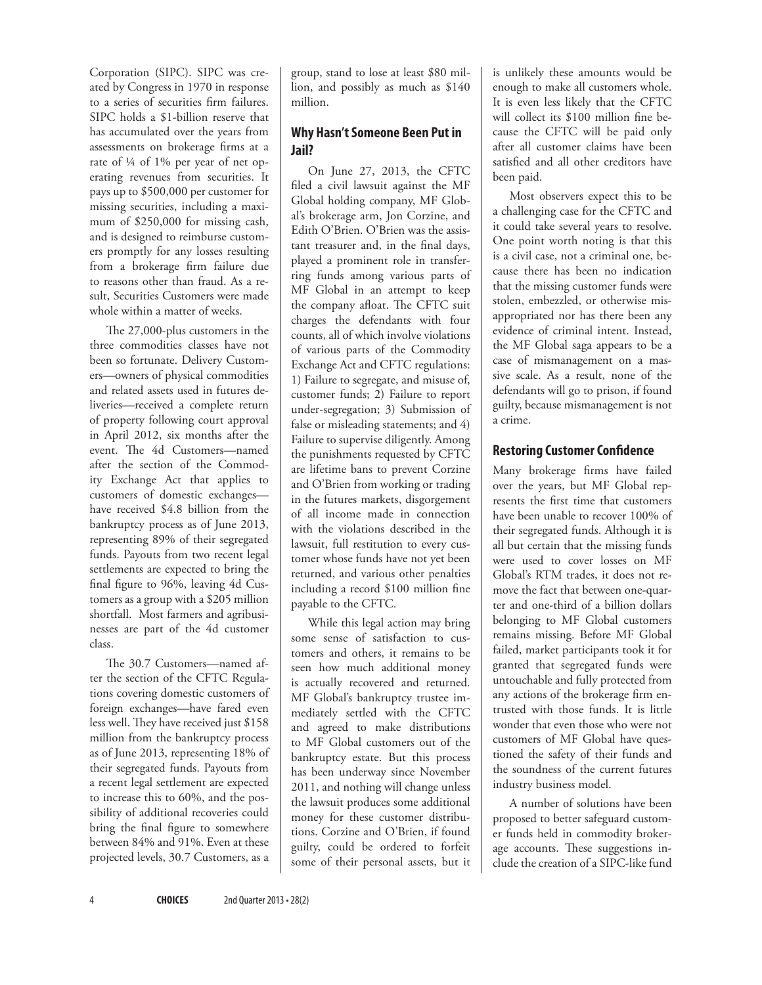Corporation (SIPC). SIPC was created by Congress in 1970 in response to a series of securities firm failures. SIPC holds a \$1-billion reserve that has accumulated over the years from assessments on brokerage firms at a rate of ¼ of 1% per year of net operating revenues from securities. It pays up to \$500,000 per customer for missing securities, including a maximum of \$250,000 for missing cash, and is designed to reimburse customers promptly for any losses resulting from a brokerage firm failure due to reasons other than fraud. As a result, Securities Customers were made whole within a matter of weeks.

The 27,000-plus customers in the three commodities classes have not been so fortunate. Delivery Customers—owners of physical commodities and related assets used in futures deliveries—received a complete return of property following court approval in April 2012, six months after the event. The 4d Customers—named after the section of the Commodity Exchange Act that applies to customers of domestic exchanges have received \$4.8 billion from the bankruptcy process as of June 2013, representing 89% of their segregated funds. Payouts from two recent legal settlements are expected to bring the final figure to 96%, leaving 4d Customers as a group with a \$205 million shortfall. Most farmers and agribusinesses are part of the 4d customer class.

The 30.7 Customers—named after the section of the CFTC Regulations covering domestic customers of foreign exchanges—have fared even less well. They have received just \$158 million from the bankruptcy process as of June 2013, representing 18% of their segregated funds. Payouts from a recent legal settlement are expected to increase this to 60%, and the possibility of additional recoveries could bring the final figure to somewhere between 84% and 91%. Even at these projected levels, 30.7 Customers, as a

group, stand to lose at least \$80 million, and possibly as much as \$140 million.

## **Why Hasn't Someone Been Put in Jail?**

On June 27, 2013, the CFTC filed a civil lawsuit against the MF Global holding company, MF Global's brokerage arm, Jon Corzine, and Edith O'Brien. O'Brien was the assistant treasurer and, in the final days, played a prominent role in transferring funds among various parts of MF Global in an attempt to keep the company afloat. The CFTC suit charges the defendants with four counts, all of which involve violations of various parts of the Commodity Exchange Act and CFTC regulations: 1) Failure to segregate, and misuse of, customer funds; 2) Failure to report under-segregation; 3) Submission of false or misleading statements; and 4) Failure to supervise diligently. Among the punishments requested by CFTC are lifetime bans to prevent Corzine and O'Brien from working or trading in the futures markets, disgorgement of all income made in connection with the violations described in the lawsuit, full restitution to every customer whose funds have not yet been returned, and various other penalties including a record \$100 million fine payable to the CFTC.

While this legal action may bring some sense of satisfaction to customers and others, it remains to be seen how much additional money is actually recovered and returned. MF Global's bankruptcy trustee immediately settled with the CFTC and agreed to make distributions to MF Global customers out of the bankruptcy estate. But this process has been underway since November 2011, and nothing will change unless the lawsuit produces some additional money for these customer distributions. Corzine and O'Brien, if found guilty, could be ordered to forfeit some of their personal assets, but it

is unlikely these amounts would be enough to make all customers whole. It is even less likely that the CFTC will collect its \$100 million fine because the CFTC will be paid only after all customer claims have been satisfied and all other creditors have been paid.

Most observers expect this to be a challenging case for the CFTC and it could take several years to resolve. One point worth noting is that this is a civil case, not a criminal one, because there has been no indication that the missing customer funds were stolen, embezzled, or otherwise misappropriated nor has there been any evidence of criminal intent. Instead, the MF Global saga appears to be a case of mismanagement on a massive scale. As a result, none of the defendants will go to prison, if found guilty, because mismanagement is not a crime.

## **Restoring Customer Confidence**

Many brokerage firms have failed over the years, but MF Global represents the first time that customers have been unable to recover 100% of their segregated funds. Although it is all but certain that the missing funds were used to cover losses on MF Global's RTM trades, it does not remove the fact that between one-quarter and one-third of a billion dollars belonging to MF Global customers remains missing. Before MF Global failed, market participants took it for granted that segregated funds were untouchable and fully protected from any actions of the brokerage firm entrusted with those funds. It is little wonder that even those who were not customers of MF Global have questioned the safety of their funds and the soundness of the current futures industry business model.

A number of solutions have been proposed to better safeguard customer funds held in commodity brokerage accounts. These suggestions include the creation of a SIPC-like fund